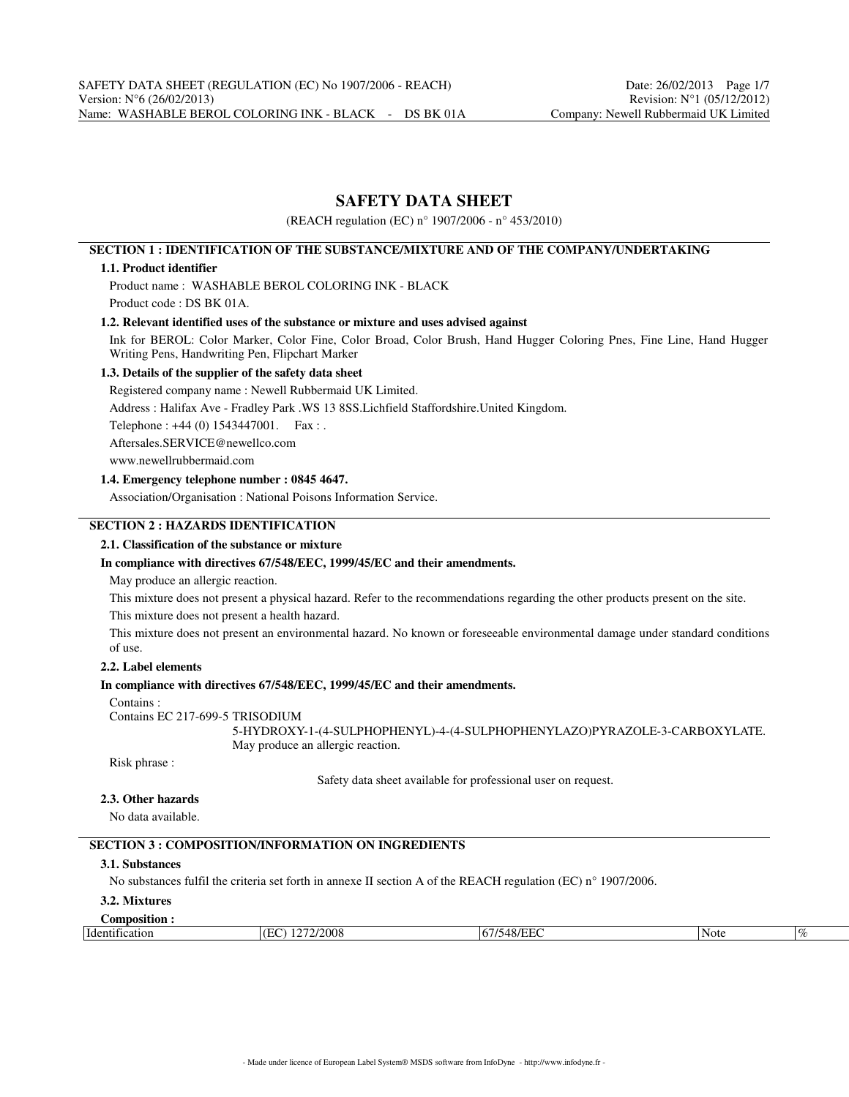# **SAFETY DATA SHEET**

(REACH regulation (EC) n° 1907/2006 - n° 453/2010)

### **SECTION 1 : IDENTIFICATION OF THE SUBSTANCE/MIXTURE AND OF THE COMPANY/UNDERTAKING**

### **1.1. Product identifier**

Product name : WASHABLE BEROL COLORING INK - BLACK Product code : DS BK 01A.

### **1.2. Relevant identified uses of the substance or mixture and uses advised against**

Ink for BEROL: Color Marker, Color Fine, Color Broad, Color Brush, Hand Hugger Coloring Pnes, Fine Line, Hand Hugger Writing Pens, Handwriting Pen, Flipchart Marker

### **1.3. Details of the supplier of the safety data sheet**

Registered company name : Newell Rubbermaid UK Limited.

Address : Halifax Ave - Fradley Park .WS 13 8SS.Lichfield Staffordshire.United Kingdom.

Telephone : +44 (0) 1543447001. Fax : .

Aftersales.SERVICE@newellco.com

www.newellrubbermaid.com

### **1.4. Emergency telephone number : 0845 4647.**

Association/Organisation : National Poisons Information Service.

## **SECTION 2 : HAZARDS IDENTIFICATION**

**2.1. Classification of the substance or mixture**

### **In compliance with directives 67/548/EEC, 1999/45/EC and their amendments.**

May produce an allergic reaction.

This mixture does not present a physical hazard. Refer to the recommendations regarding the other products present on the site.

This mixture does not present a health hazard.

This mixture does not present an environmental hazard. No known or foreseeable environmental damage under standard conditions of use.

### **2.2. Label elements**

### **In compliance with directives 67/548/EEC, 1999/45/EC and their amendments.**

Contains :

Contains EC 217-699-5 TRISODIUM

5-HYDROXY-1-(4-SULPHOPHENYL)-4-(4-SULPHOPHENYLAZO)PYRAZOLE-3-CARBOXYLATE. May produce an allergic reaction.

Risk phrase :

Safety data sheet available for professional user on request.

### **2.3. Other hazards**

No data available.

## **SECTION 3 : COMPOSITION/INFORMATION ON INGREDIENTS**

## **3.1. Substances**

No substances fulfil the criteria set forth in annexe II section A of the REACH regulation (EC) n° 1907/2006.

### **3.2. Mixtures**

| Composition                 |          |                        |      |      |
|-----------------------------|----------|------------------------|------|------|
| -<br>$-1$<br>Identification | 272/2008 | $\sim$<br>$\mathbf{D}$ | Note | $\%$ |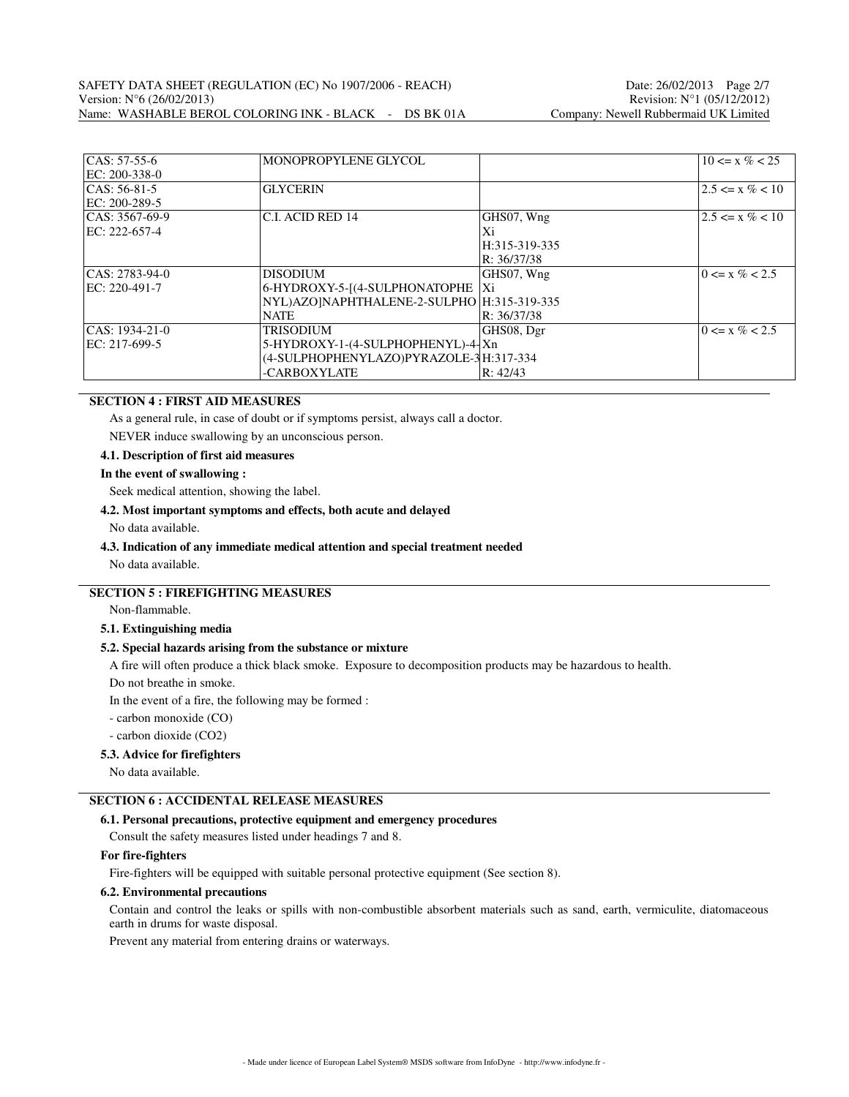| $CAS: 57-55-6$    | MONOPROPYLENE GLYCOL                         |               | $10 \le x \% < 25$  |
|-------------------|----------------------------------------------|---------------|---------------------|
| EC: 200-338-0     |                                              |               |                     |
| $ CAS: 56-81-5$   | <b>GLYCERIN</b>                              |               | $2.5 \le x \% < 10$ |
| EC: 200-289-5     |                                              |               |                     |
| $ CAS: 3567-69-9$ | C.I. ACID RED 14                             | GHS07, Wng    | $2.5 \le x \% < 10$ |
| EC: 222-657-4     |                                              | Xi            |                     |
|                   |                                              | H:315-319-335 |                     |
|                   |                                              | R: 36/37/38   |                     |
| CAS: 2783-94-0    | <b>DISODIUM</b>                              | GHS07, Wng    | $0 \le x \% < 2.5$  |
| EC: 220-491-7     | 6-HYDROXY-5-[(4-SULPHONATOPHE   Xi           |               |                     |
|                   | NYL)AZO]NAPHTHALENE-2-SULPHO   H:315-319-335 |               |                     |
|                   | <b>NATE</b>                                  | R: 36/37/38   |                     |
| CAS: 1934-21-0    | <b>TRISODIUM</b>                             | GHS08, Dgr    | $0 \le x \% < 2.5$  |
| EC: 217-699-5     | 5-HYDROXY-1-(4-SULPHOPHENYL)-4-Xn            |               |                     |
|                   | (4-SULPHOPHENYLAZO)PYRAZOLE-3H:317-334       |               |                     |
|                   | -CARBOXYLATE                                 | R: 42/43      |                     |

## **SECTION 4 : FIRST AID MEASURES**

As a general rule, in case of doubt or if symptoms persist, always call a doctor.

NEVER induce swallowing by an unconscious person.

### **4.1. Description of first aid measures**

### **In the event of swallowing :**

Seek medical attention, showing the label.

### **4.2. Most important symptoms and effects, both acute and delayed**

No data available.

## **4.3. Indication of any immediate medical attention and special treatment needed**

No data available.

## **SECTION 5 : FIREFIGHTING MEASURES**

Non-flammable.

## **5.1. Extinguishing media**

### **5.2. Special hazards arising from the substance or mixture**

A fire will often produce a thick black smoke. Exposure to decomposition products may be hazardous to health.

Do not breathe in smoke.

In the event of a fire, the following may be formed :

- carbon monoxide (CO)

- carbon dioxide (CO2)

### **5.3. Advice for firefighters**

No data available.

# **SECTION 6 : ACCIDENTAL RELEASE MEASURES**

#### **6.1. Personal precautions, protective equipment and emergency procedures**

Consult the safety measures listed under headings 7 and 8.

### **For fire-fighters**

Fire-fighters will be equipped with suitable personal protective equipment (See section 8).

### **6.2. Environmental precautions**

Contain and control the leaks or spills with non-combustible absorbent materials such as sand, earth, vermiculite, diatomaceous earth in drums for waste disposal.

Prevent any material from entering drains or waterways.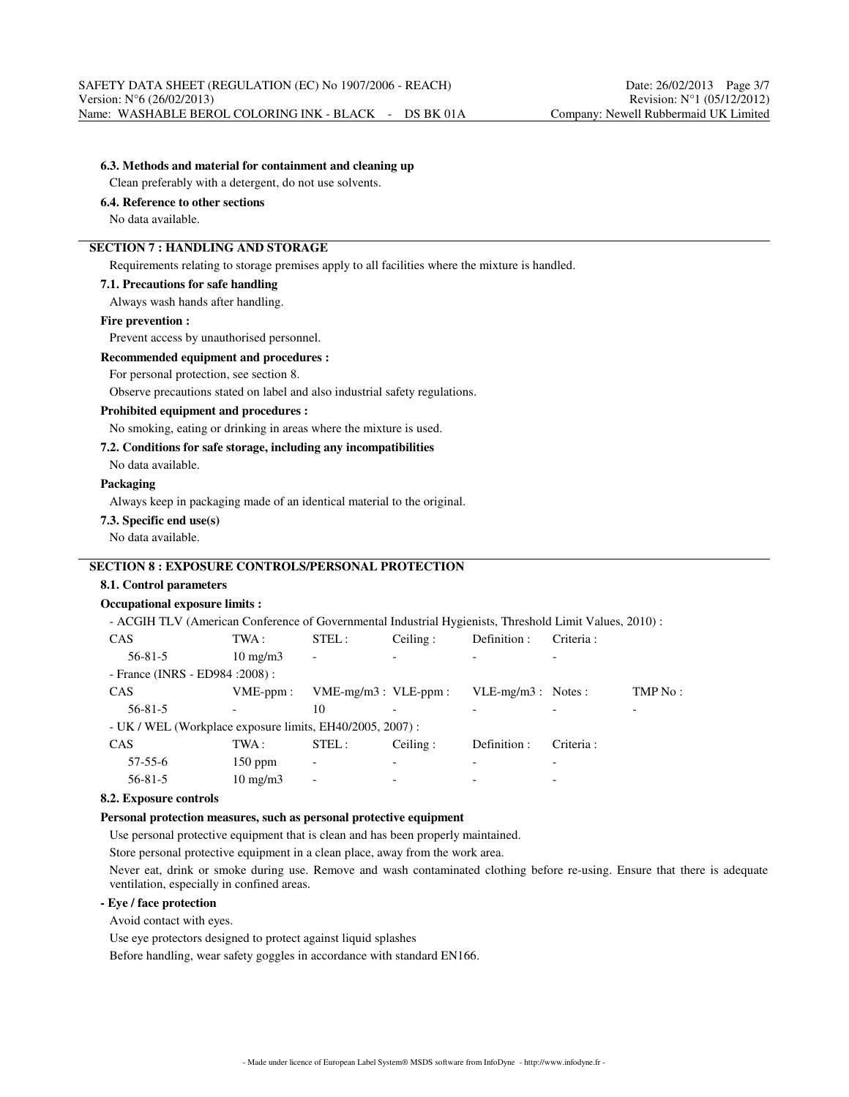### **6.3. Methods and material for containment and cleaning up**

Clean preferably with a detergent, do not use solvents.

## **6.4. Reference to other sections**

No data available.

# **SECTION 7 : HANDLING AND STORAGE**

Requirements relating to storage premises apply to all facilities where the mixture is handled.

#### **7.1. Precautions for safe handling**

Always wash hands after handling.

#### **Fire prevention :**

Prevent access by unauthorised personnel.

### **Recommended equipment and procedures :**

For personal protection, see section 8.

Observe precautions stated on label and also industrial safety regulations.

### **Prohibited equipment and procedures :**

No smoking, eating or drinking in areas where the mixture is used.

### **7.2. Conditions for safe storage, including any incompatibilities**

No data available.

### **Packaging**

Always keep in packaging made of an identical material to the original.

### **7.3. Specific end use(s)**

No data available.

## **SECTION 8 : EXPOSURE CONTROLS/PERSONAL PROTECTION**

### **8.1. Control parameters**

#### **Occupational exposure limits :**

- ACGIH TLV (American Conference of Governmental Industrial Hygienists, Threshold Limit Values, 2010) :

| <b>CAS</b>                                               | TWA :                    | STEL:                        | Ceiling: | Definition :         | Criteria :               |         |
|----------------------------------------------------------|--------------------------|------------------------------|----------|----------------------|--------------------------|---------|
| $56 - 81 - 5$                                            | $10 \text{ mg/m}$        | $\overline{\phantom{a}}$     |          |                      | $\overline{\phantom{0}}$ |         |
| - France (INRS - ED984 : 2008) :                         |                          |                              |          |                      |                          |         |
| <b>CAS</b>                                               | $VME-ppm$ :              | $VME-mg/m3$ : $VLE-ppm$ :    |          | $VLE-mg/m3$ : Notes: |                          | TMP No: |
| $56 - 81 - 5$                                            | $\overline{\phantom{a}}$ | 10                           |          |                      |                          |         |
| - UK / WEL (Workplace exposure limits, EH40/2005, 2007): |                          |                              |          |                      |                          |         |
| <b>CAS</b>                                               | TWA :                    | STEL:                        | Ceiling: | Definition :         | Criteria :               |         |
| $57 - 55 - 6$                                            | $150$ ppm                | $\qquad \qquad \blacksquare$ |          |                      |                          |         |
| $56 - 81 - 5$                                            | $10 \text{ mg/m}$        | $\overline{\phantom{a}}$     |          |                      | $\overline{\phantom{0}}$ |         |

### **8.2. Exposure controls**

#### **Personal protection measures, such as personal protective equipment**

Use personal protective equipment that is clean and has been properly maintained.

Store personal protective equipment in a clean place, away from the work area.

Never eat, drink or smoke during use. Remove and wash contaminated clothing before re-using. Ensure that there is adequate ventilation, especially in confined areas.

### **- Eye / face protection**

Avoid contact with eyes.

Use eye protectors designed to protect against liquid splashes

Before handling, wear safety goggles in accordance with standard EN166.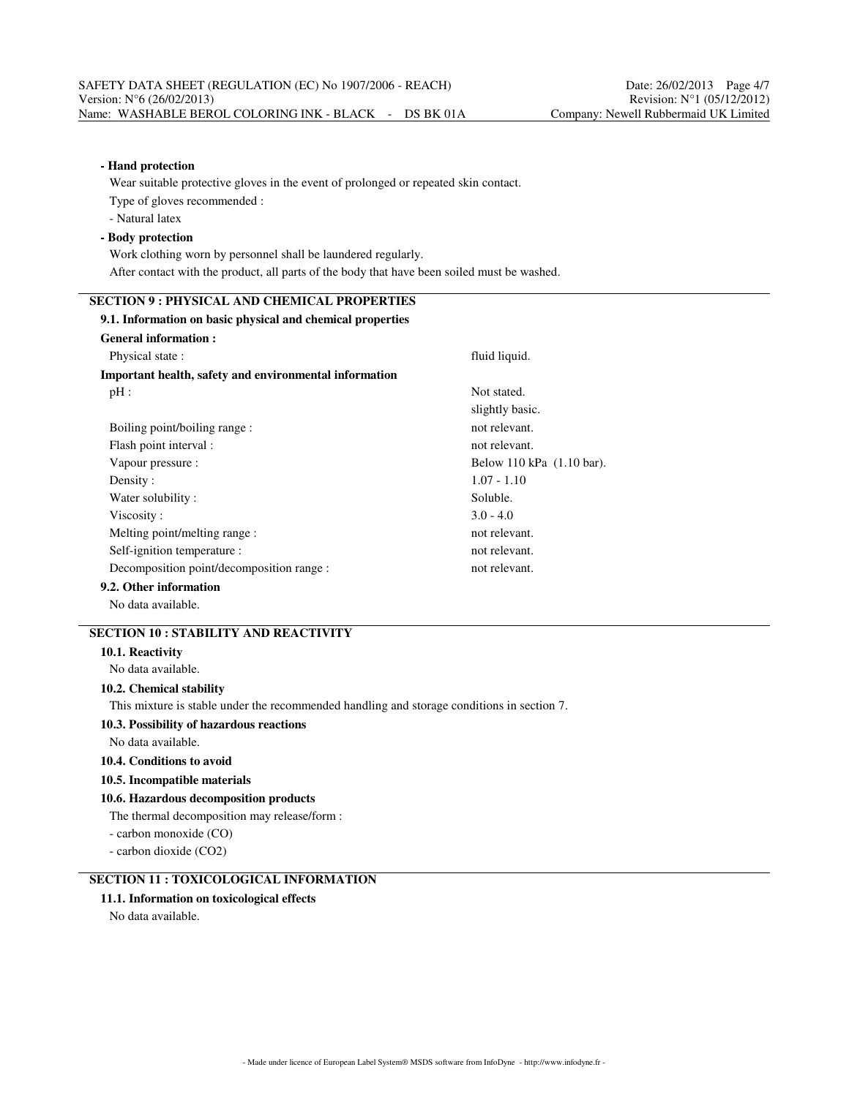# **- Hand protection**

Wear suitable protective gloves in the event of prolonged or repeated skin contact. Type of gloves recommended :

- Natural latex

### **- Body protection**

Work clothing worn by personnel shall be laundered regularly. After contact with the product, all parts of the body that have been soiled must be washed.

# **SECTION 9 : PHYSICAL AND CHEMICAL PROPERTIES**

# **9.1. Information on basic physical and chemical properties General information :** Physical state : fluid liquid. **Important health, safety and environmental information** pH : Not stated. slightly basic. Boiling point/boiling range : not relevant. Flash point interval : not relevant. Vapour pressure : Below 110 kPa (1.10 bar). Density : 1.07 - 1.10 Water solubility : Soluble. Viscosity :  $3.0 - 4.0$ Melting point/melting range : not relevant. Self-ignition temperature : not relevant. Decomposition point/decomposition range : not relevant. **9.2. Other information**

No data available.

# **SECTION 10 : STABILITY AND REACTIVITY**

### **10.1. Reactivity**

No data available.

### **10.2. Chemical stability**

This mixture is stable under the recommended handling and storage conditions in section 7.

### **10.3. Possibility of hazardous reactions**

No data available.

## **10.4. Conditions to avoid**

## **10.5. Incompatible materials**

## **10.6. Hazardous decomposition products**

The thermal decomposition may release/form :

- carbon monoxide (CO)
- carbon dioxide (CO2)

# **SECTION 11 : TOXICOLOGICAL INFORMATION**

# **11.1. Information on toxicological effects**

No data available.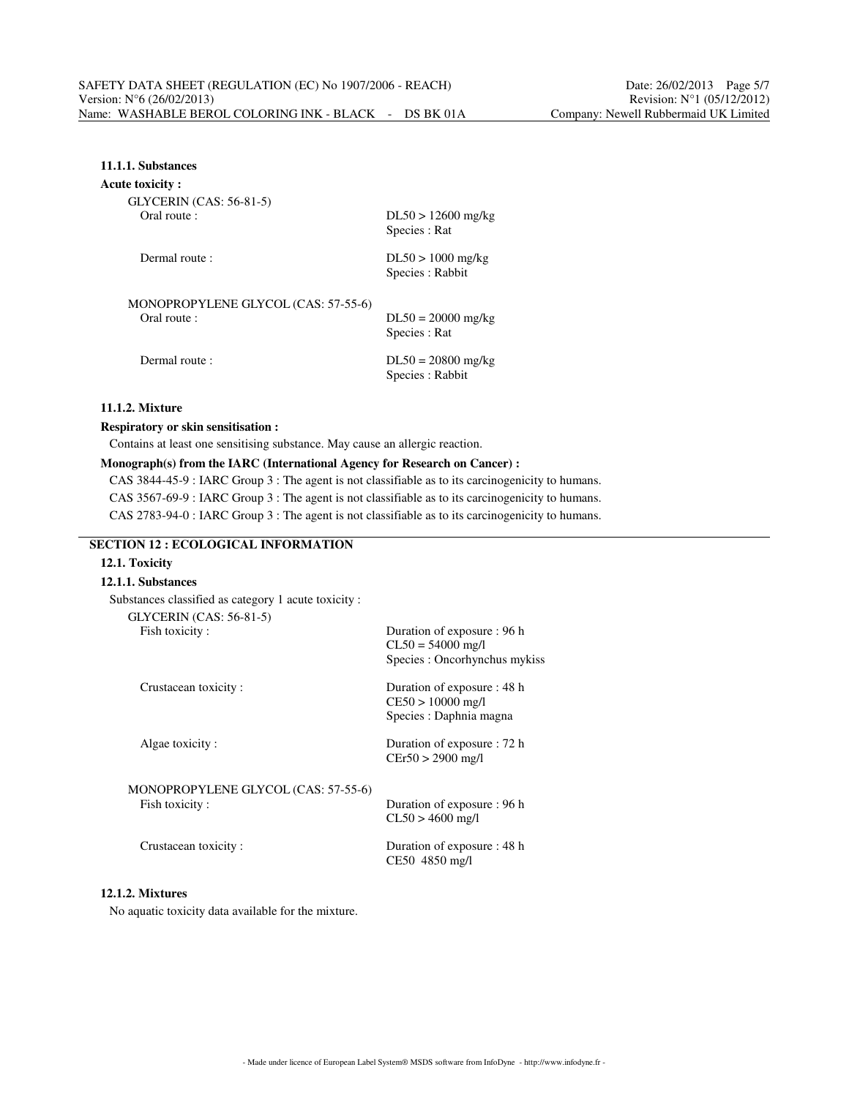## **11.1.1. Substances**

### **Acute toxicity :**

GLYCERIN (CAS: 56-81-5) Oral route :

| ULI ULIAIN (UAS. 30-01-3)                           |                                         |
|-----------------------------------------------------|-----------------------------------------|
| Oral route :                                        | $DL50 > 12600$ mg/kg<br>Species : Rat   |
| Dermal route:                                       | $DL50 > 1000$ mg/kg<br>Species : Rabbit |
| MONOPROPYLENE GLYCOL (CAS: 57-55-6)<br>Oral route : | $DL50 = 20000$ mg/kg<br>Species : Rat   |

Species : Rat Dermal route :  $DL50 = 20800$  mg/kg

Species : Rabbit

## **11.1.2. Mixture**

### **Respiratory or skin sensitisation :**

Contains at least one sensitising substance. May cause an allergic reaction.

### **Monograph(s) from the IARC (International Agency for Research on Cancer) :**

CAS 3844-45-9 : IARC Group 3 : The agent is not classifiable as to its carcinogenicity to humans. CAS 3567-69-9 : IARC Group 3 : The agent is not classifiable as to its carcinogenicity to humans. CAS 2783-94-0 : IARC Group 3 : The agent is not classifiable as to its carcinogenicity to humans.

## **SECTION 12 : ECOLOGICAL INFORMATION**

# **12.1. Toxicity**

|  | 12.1.1. Substances |
|--|--------------------|
|--|--------------------|

| Substances classified as category 1 acute toxicity: |                                                                                     |
|-----------------------------------------------------|-------------------------------------------------------------------------------------|
| GLYCERIN (CAS: 56-81-5)                             |                                                                                     |
| Fish toxicity:                                      | Duration of exposure : 96 h<br>$CL50 = 54000$ mg/l<br>Species : Oncorhynchus mykiss |
| Crustacean toxicity:                                | Duration of exposure : 48 h<br>$CE50 > 10000$ mg/l<br>Species : Daphnia magna       |
| Algae toxicity:                                     | Duration of exposure : 72 h<br>$CEr50 > 2900$ mg/l                                  |
| MONOPROPYLENE GLYCOL (CAS: 57-55-6)                 |                                                                                     |
| Fish toxicity:                                      | Duration of exposure : 96 h<br>$CL50 > 4600$ mg/l                                   |
| Crustacean toxicity:                                | Duration of exposure : 48 h<br>CE50 4850 mg/l                                       |
|                                                     |                                                                                     |

# **12.1.2. Mixtures**

No aquatic toxicity data available for the mixture.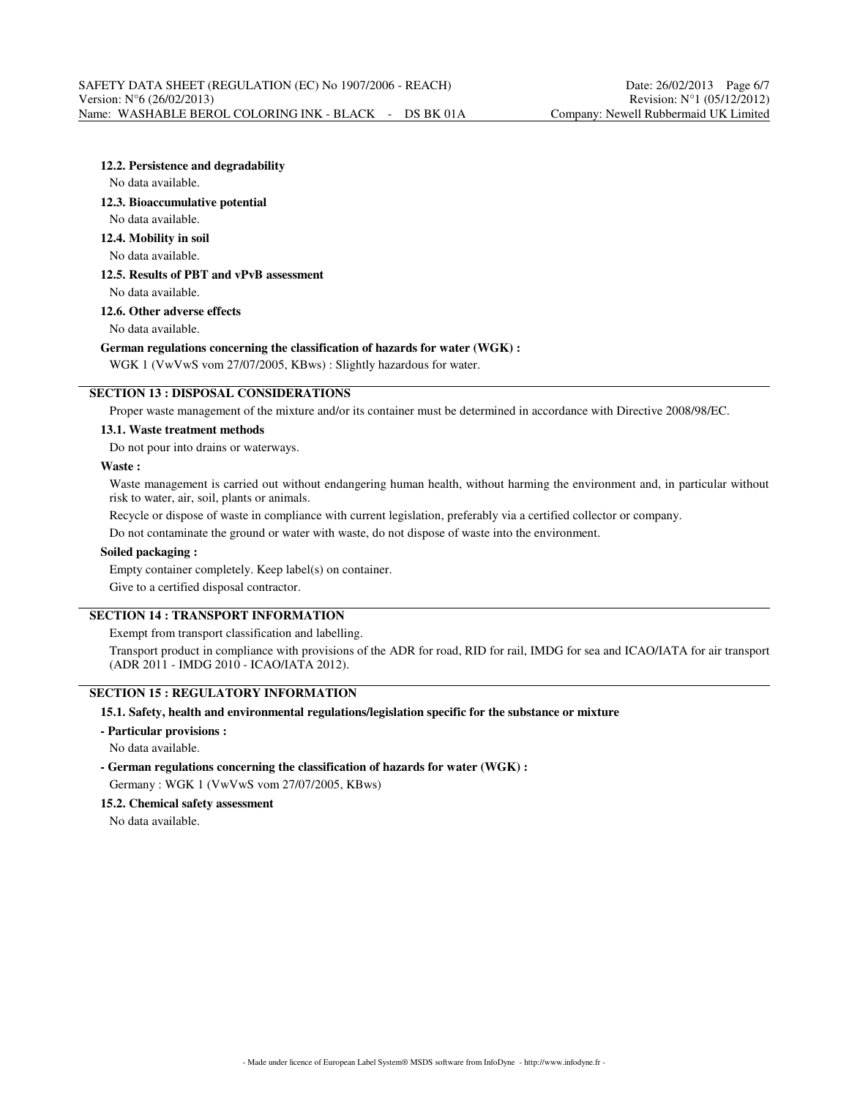### **12.2. Persistence and degradability**

No data available.

### **12.3. Bioaccumulative potential**

No data available.

### **12.4. Mobility in soil**

No data available.

## **12.5. Results of PBT and vPvB assessment** No data available.

**12.6. Other adverse effects**

No data available.

### **German regulations concerning the classification of hazards for water (WGK) :**

WGK 1 (VwVwS vom 27/07/2005, KBws) : Slightly hazardous for water.

# **SECTION 13 : DISPOSAL CONSIDERATIONS**

Proper waste management of the mixture and/or its container must be determined in accordance with Directive 2008/98/EC.

### **13.1. Waste treatment methods**

Do not pour into drains or waterways.

### **Waste :**

Waste management is carried out without endangering human health, without harming the environment and, in particular without risk to water, air, soil, plants or animals.

Recycle or dispose of waste in compliance with current legislation, preferably via a certified collector or company.

Do not contaminate the ground or water with waste, do not dispose of waste into the environment.

### **Soiled packaging :**

Empty container completely. Keep label(s) on container.

Give to a certified disposal contractor.

### **SECTION 14 : TRANSPORT INFORMATION**

Exempt from transport classification and labelling.

Transport product in compliance with provisions of the ADR for road, RID for rail, IMDG for sea and ICAO/IATA for air transport (ADR 2011 - IMDG 2010 - ICAO/IATA 2012).

## **SECTION 15 : REGULATORY INFORMATION**

### **15.1. Safety, health and environmental regulations/legislation specific for the substance or mixture**

**- Particular provisions :**

No data available.

**- German regulations concerning the classification of hazards for water (WGK) :** Germany : WGK 1 (VwVwS vom 27/07/2005, KBws)

### **15.2. Chemical safety assessment**

No data available.